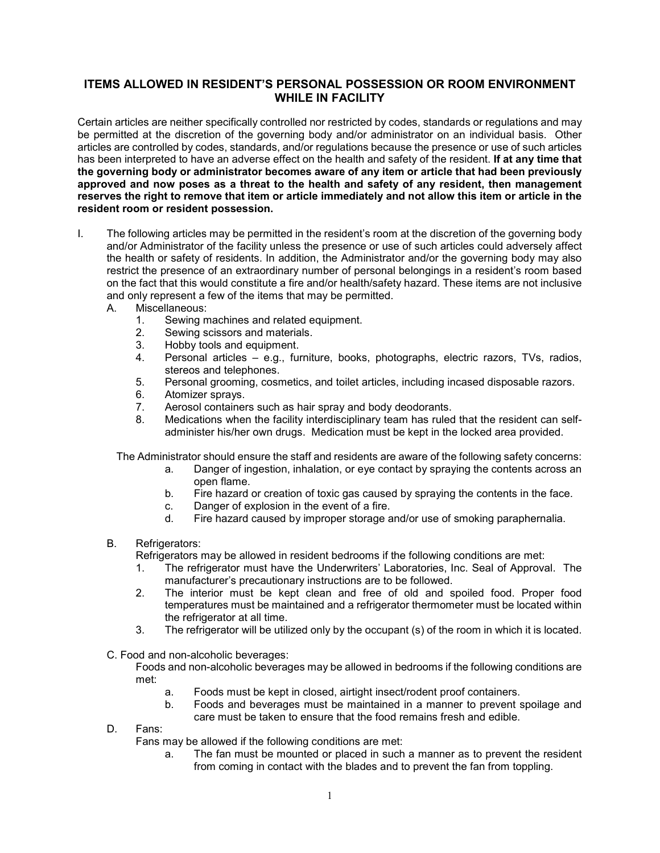## **ITEMS ALLOWED IN RESIDENT'S PERSONAL POSSESSION OR ROOM ENVIRONMENT WHILE IN FACILITY**

Certain articles are neither specifically controlled nor restricted by codes, standards or regulations and may be permitted at the discretion of the governing body and/or administrator on an individual basis. Other articles are controlled by codes, standards, and/or regulations because the presence or use of such articles has been interpreted to have an adverse effect on the health and safety of the resident. **If at any time that the governing body or administrator becomes aware of any item or article that had been previously approved and now poses as a threat to the health and safety of any resident, then management reserves the right to remove that item or article immediately and not allow this item or article in the resident room or resident possession.**

- I. The following articles may be permitted in the resident's room at the discretion of the governing body and/or Administrator of the facility unless the presence or use of such articles could adversely affect the health or safety of residents. In addition, the Administrator and/or the governing body may also restrict the presence of an extraordinary number of personal belongings in a resident's room based on the fact that this would constitute a fire and/or health/safety hazard. These items are not inclusive and only represent a few of the items that may be permitted.
	- A. Miscellaneous:
		- 1. Sewing machines and related equipment.
		- 2. Sewing scissors and materials.
		- 3. Hobby tools and equipment.<br>4 Personal articles  $-$  e.g. fur-
		- 4. Personal articles e.g., furniture, books, photographs, electric razors, TVs, radios, stereos and telephones.
		- 5. Personal grooming, cosmetics, and toilet articles, including incased disposable razors.
		- 6. Atomizer sprays.
		- 7. Aerosol containers such as hair spray and body deodorants.
		- 8. Medications when the facility interdisciplinary team has ruled that the resident can selfadminister his/her own drugs. Medication must be kept in the locked area provided.

The Administrator should ensure the staff and residents are aware of the following safety concerns:

- a. Danger of ingestion, inhalation, or eye contact by spraying the contents across an open flame.
- b. Fire hazard or creation of toxic gas caused by spraying the contents in the face.
- c. Danger of explosion in the event of a fire.
- d. Fire hazard caused by improper storage and/or use of smoking paraphernalia.
- B. Refrigerators:

Refrigerators may be allowed in resident bedrooms if the following conditions are met:

- 1. The refrigerator must have the Underwriters' Laboratories, Inc. Seal of Approval. The manufacturer's precautionary instructions are to be followed.
- 2. The interior must be kept clean and free of old and spoiled food. Proper food temperatures must be maintained and a refrigerator thermometer must be located within the refrigerator at all time.
- 3. The refrigerator will be utilized only by the occupant (s) of the room in which it is located.
- C. Food and non-alcoholic beverages:

Foods and non-alcoholic beverages may be allowed in bedrooms if the following conditions are met:

- a. Foods must be kept in closed, airtight insect/rodent proof containers.
- b. Foods and beverages must be maintained in a manner to prevent spoilage and care must be taken to ensure that the food remains fresh and edible.
- D. Fans:

Fans may be allowed if the following conditions are met:

a. The fan must be mounted or placed in such a manner as to prevent the resident from coming in contact with the blades and to prevent the fan from toppling.